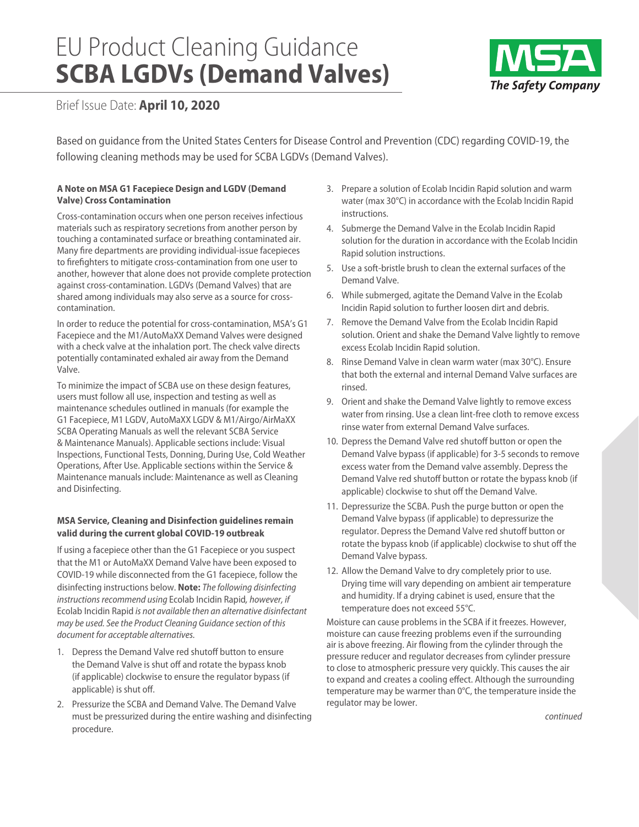# EU Product Cleaning Guidance **SCBA LGDVs (Demand Valves)**



Brief Issue Date: **April 10, 2020**

Based on guidance from the United States Centers for Disease Control and Prevention (CDC) regarding COVID-19, the following cleaning methods may be used for SCBA LGDVs (Demand Valves).

## **A Note on MSA G1 Facepiece Design and LGDV (Demand Valve) Cross Contamination**

Cross-contamination occurs when one person receives infectious materials such as respiratory secretions from another person by touching a contaminated surface or breathing contaminated air. Many fire departments are providing individual-issue facepieces to firefighters to mitigate cross-contamination from one user to another, however that alone does not provide complete protection against cross-contamination. LGDVs (Demand Valves) that are shared among individuals may also serve as a source for crosscontamination.

In order to reduce the potential for cross-contamination, MSA's G1 Facepiece and the M1/AutoMaXX Demand Valves were designed with a check valve at the inhalation port. The check valve directs potentially contaminated exhaled air away from the Demand Valve.

To minimize the impact of SCBA use on these design features, users must follow all use, inspection and testing as well as maintenance schedules outlined in manuals (for example the G1 Facepiece, M1 LGDV, AutoMaXX LGDV & M1/Airgo/AirMaXX SCBA Operating Manuals as well the relevant SCBA Service & Maintenance Manuals). Applicable sections include: Visual Inspections, Functional Tests, Donning, During Use, Cold Weather Operations, After Use. Applicable sections within the Service & Maintenance manuals include: Maintenance as well as Cleaning and Disinfecting.

## **MSA Service, Cleaning and Disinfection guidelines remain valid during the current global COVID-19 outbreak**

If using a facepiece other than the G1 Facepiece or you suspect that the M1 or AutoMaXX Demand Valve have been exposed to COVID-19 while disconnected from the G1 facepiece, follow the disinfecting instructions below. **Note:** *The following disinfecting instructions recommend using* Ecolab Incidin Rapid*, however, if*  Ecolab Incidin Rapid *is not available then an alternative disinfectant may be used. See the Product Cleaning Guidance section of this document for acceptable alternatives.* 

- 1. Depress the Demand Valve red shutoff button to ensure the Demand Valve is shut off and rotate the bypass knob (if applicable) clockwise to ensure the regulator bypass (if applicable) is shut off.
- 2. Pressurize the SCBA and Demand Valve. The Demand Valve must be pressurized during the entire washing and disinfecting procedure.
- 3. Prepare a solution of Ecolab Incidin Rapid solution and warm water (max 30°C) in accordance with the Ecolab Incidin Rapid instructions.
- 4. Submerge the Demand Valve in the Ecolab Incidin Rapid solution for the duration in accordance with the Ecolab Incidin Rapid solution instructions.
- 5. Use a soft-bristle brush to clean the external surfaces of the Demand Valve.
- 6. While submerged, agitate the Demand Valve in the Ecolab Incidin Rapid solution to further loosen dirt and debris.
- 7. Remove the Demand Valve from the Ecolab Incidin Rapid solution. Orient and shake the Demand Valve lightly to remove excess Ecolab Incidin Rapid solution.
- 8. Rinse Demand Valve in clean warm water (max 30°C). Ensure that both the external and internal Demand Valve surfaces are rinsed.
- 9. Orient and shake the Demand Valve lightly to remove excess water from rinsing. Use a clean lint-free cloth to remove excess rinse water from external Demand Valve surfaces.
- 10. Depress the Demand Valve red shutoff button or open the Demand Valve bypass (if applicable) for 3-5 seconds to remove excess water from the Demand valve assembly. Depress the Demand Valve red shutoff button or rotate the bypass knob (if applicable) clockwise to shut off the Demand Valve.
- 11. Depressurize the SCBA. Push the purge button or open the Demand Valve bypass (if applicable) to depressurize the regulator. Depress the Demand Valve red shutoff button or rotate the bypass knob (if applicable) clockwise to shut off the Demand Valve bypass.
- 12. Allow the Demand Valve to dry completely prior to use. Drying time will vary depending on ambient air temperature and humidity. If a drying cabinet is used, ensure that the temperature does not exceed 55°C.

Moisture can cause problems in the SCBA if it freezes. However, moisture can cause freezing problems even if the surrounding air is above freezing. Air flowing from the cylinder through the pressure reducer and regulator decreases from cylinder pressure to close to atmospheric pressure very quickly. This causes the air to expand and creates a cooling effect. Although the surrounding temperature may be warmer than 0°C, the temperature inside the regulator may be lower.